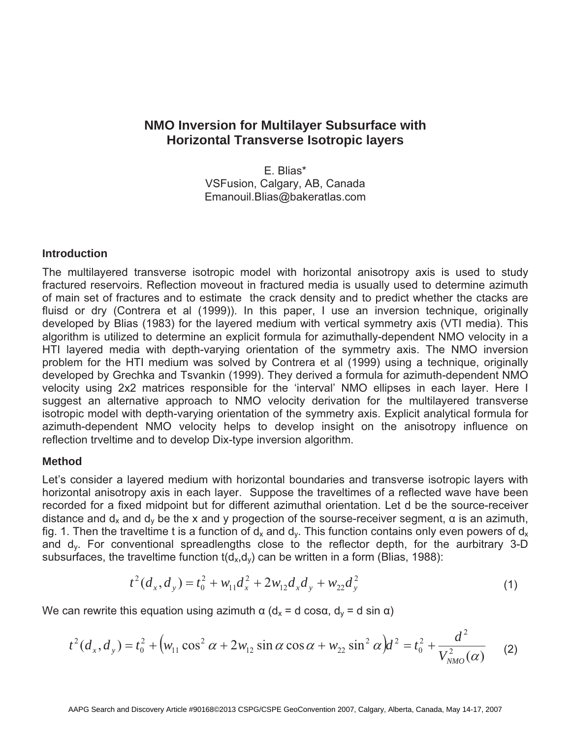# **NMO Inversion for Multilayer Subsurface with Horizontal Transverse Isotropic layers**

E. Blias\* VSFusion, Calgary, AB, Canada Emanouil.Blias@bakeratlas.com

### **Introduction**

The multilayered transverse isotropic model with horizontal anisotropy axis is used to study fractured reservoirs. Reflection moveout in fractured media is usually used to determine azimuth of main set of fractures and to estimate the crack density and to predict whether the ctacks are fluisd or dry (Contrera et al (1999)). In this paper, I use an inversion technique, originally developed by Blias (1983) for the layered medium with vertical symmetry axis (VTI media). This algorithm is utilized to determine an explicit formula for azimuthally-dependent NMO velocity in a HTI layered media with depth-varying orientation of the symmetry axis. The NMO inversion problem for the HTI medium was solved by Contrera et al (1999) using a technique, originally developed by Grechka and Tsvankin (1999). They derived a formula for azimuth-dependent NMO velocity using 2x2 matrices responsible for the 'interval' NMO ellipses in each layer. Here I suggest an alternative approach to NMO velocity derivation for the multilayered transverse isotropic model with depth-varying orientation of the symmetry axis. Explicit analytical formula for azimuth-dependent NMO velocity helps to develop insight on the anisotropy influence on reflection trveltime and to develop Dix-type inversion algorithm.

## **Method**

Let's consider a layered medium with horizontal boundaries and transverse isotropic layers with horizontal anisotropy axis in each layer. Suppose the traveltimes of a reflected wave have been recorded for a fixed midpoint but for different azimuthal orientation. Let d be the source-receiver distance and  $d_x$  and  $d_y$  be the x and y progection of the sourse-receiver segment,  $\alpha$  is an azimuth, fig. 1. Then the traveltime t is a function of  $d_x$  and  $d_y$ . This function contains only even powers of  $d_x$ and dy. For conventional spreadlengths close to the reflector depth, for the aurbitrary 3-D subsurfaces, the traveltime function  $t(d_x, d_y)$  can be written in a form (Blias, 1988):

$$
t^{2}(d_{x}, d_{y}) = t_{0}^{2} + w_{11}d_{x}^{2} + 2w_{12}d_{x}d_{y} + w_{22}d_{y}^{2}
$$
\n(1)

We can rewrite this equation using azimuth  $\alpha$  (d<sub>x</sub> = d cos $\alpha$ , d<sub>y</sub> = d sin  $\alpha$ )

$$
t^{2}(d_{x}, d_{y}) = t_{0}^{2} + (w_{11} \cos^{2} \alpha + 2w_{12} \sin \alpha \cos \alpha + w_{22} \sin^{2} \alpha) d^{2} = t_{0}^{2} + \frac{d^{2}}{V_{NMO}^{2}(\alpha)}
$$
 (2)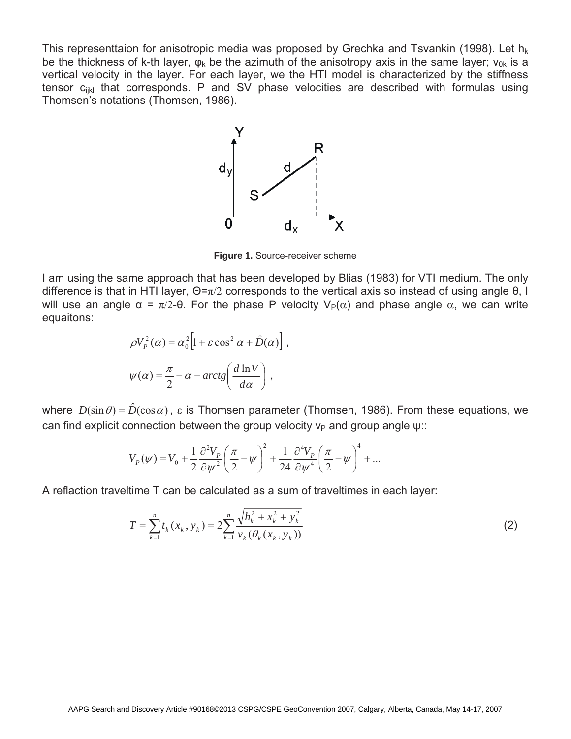This representtaion for anisotropic media was proposed by Grechka and Tsvankin (1998). Let  $h_k$ be the thickness of k-th layer,  $\varphi_k$  be the azimuth of the anisotropy axis in the same layer;  $v_{0k}$  is a vertical velocity in the layer. For each layer, we the HTI model is characterized by the stiffness tensor  $c_{ijkl}$  that corresponds. P and SV phase velocities are described with formulas using Thomsen's notations (Thomsen, 1986).



**Figure 1.** Source-receiver scheme

I am using the same approach that has been developed by Blias (1983) for VTI medium. The only difference is that in HTI layer,  $\Theta = \pi/2$  corresponds to the vertical axis so instead of using angle  $\theta$ , I will use an angle  $\alpha = \pi/2$ - $\theta$ . For the phase P velocity  $V_P(\alpha)$  and phase angle  $\alpha$ , we can write equaitons:

$$
\rho V_P^2(\alpha) = \alpha_0^2 \left[ 1 + \varepsilon \cos^2 \alpha + \hat{D}(\alpha) \right],
$$
  

$$
\psi(\alpha) = \frac{\pi}{2} - \alpha - \arctg\left(\frac{d \ln V}{d \alpha}\right),
$$

where  $D(\sin \theta) = \hat{D}(\cos \alpha)$ ,  $\varepsilon$  is Thomsen parameter (Thomsen, 1986). From these equations, we can find explicit connection between the group velocity  $v_P$  and group angle  $w$ .

$$
V_P(\psi) = V_0 + \frac{1}{2} \frac{\partial^2 V_P}{\partial \psi^2} \left(\frac{\pi}{2} - \psi\right)^2 + \frac{1}{24} \frac{\partial^4 V_P}{\partial \psi^4} \left(\frac{\pi}{2} - \psi\right)^4 + \dots
$$

A reflaction traveltime T can be calculated as a sum of traveltimes in each layer:

$$
T = \sum_{k=1}^{n} t_k (x_k, y_k) = 2 \sum_{k=1}^{n} \frac{\sqrt{h_k^2 + x_k^2 + y_k^2}}{v_k (\theta_k (x_k, y_k))}
$$
(2)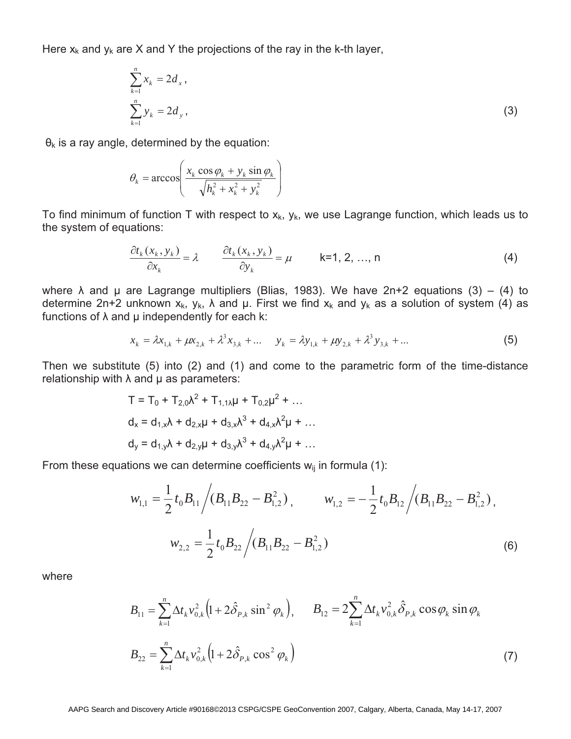Here  $x_k$  and  $y_k$  are X and Y the projections of the ray in the k-th layer,

$$
\sum_{k=1}^{n} x_k = 2d_x,
$$
  

$$
\sum_{k=1}^{n} y_k = 2d_y,
$$
 (3)

 $\theta_k$  is a ray angle, determined by the equation:

$$
\theta_k = \arccos\left(\frac{x_k \cos \varphi_k + y_k \sin \varphi_k}{\sqrt{h_k^2 + x_k^2 + y_k^2}}\right)
$$

To find minimum of function T with respect to  $x_k$ ,  $y_k$ , we use Lagrange function, which leads us to the system of equations:

$$
\frac{\partial t_k(x_k, y_k)}{\partial x_k} = \lambda \qquad \frac{\partial t_k(x_k, y_k)}{\partial y_k} = \mu \qquad \text{k=1, 2, ..., n}
$$
 (4)

where  $\lambda$  and  $\mu$  are Lagrange multipliers (Blias, 1983). We have 2n+2 equations (3) – (4) to determine 2n+2 unknown  $x_k$ ,  $y_k$ ,  $\lambda$  and  $\mu$ . First we find  $x_k$  and  $y_k$  as a solution of system (4) as functions of  $\lambda$  and  $\mu$  independently for each k:

$$
x_k = \lambda x_{1,k} + \mu x_{2,k} + \lambda^3 x_{3,k} + \dots \qquad y_k = \lambda y_{1,k} + \mu y_{2,k} + \lambda^3 y_{3,k} + \dots \tag{5}
$$

Then we substitute (5) into (2) and (1) and come to the parametric form of the time-distance relationship with  $\lambda$  and  $\mu$  as parameters:

$$
T = T_0 + T_{2,0}\lambda^2 + T_{1,1}\lambda\mu + T_{0,2}\mu^2 + ...
$$
  
\n
$$
d_x = d_{1,x}\lambda + d_{2,x}\mu + d_{3,x}\lambda^3 + d_{4,x}\lambda^2\mu + ...
$$
  
\n
$$
d_y = d_{1,y}\lambda + d_{2,y}\mu + d_{3,y}\lambda^3 + d_{4,y}\lambda^2\mu + ...
$$

From these equations we can determine coefficients  $w_{ij}$  in formula (1):

$$
w_{1,1} = \frac{1}{2} t_0 B_{11} / (B_{11} B_{22} - B_{1,2}^2), \qquad w_{1,2} = -\frac{1}{2} t_0 B_{12} / (B_{11} B_{22} - B_{1,2}^2),
$$
  

$$
w_{2,2} = \frac{1}{2} t_0 B_{22} / (B_{11} B_{22} - B_{1,2}^2)
$$
 (6)

where

$$
B_{11} = \sum_{k=1}^{n} \Delta t_k v_{0,k}^2 \left( 1 + 2 \hat{\delta}_{P,k} \sin^2 \varphi_k \right), \qquad B_{12} = 2 \sum_{k=1}^{n} \Delta t_k v_{0,k}^2 \hat{\delta}_{P,k} \cos \varphi_k \sin \varphi_k
$$
  

$$
B_{22} = \sum_{k=1}^{n} \Delta t_k v_{0,k}^2 \left( 1 + 2 \hat{\delta}_{P,k} \cos^2 \varphi_k \right)
$$
(7)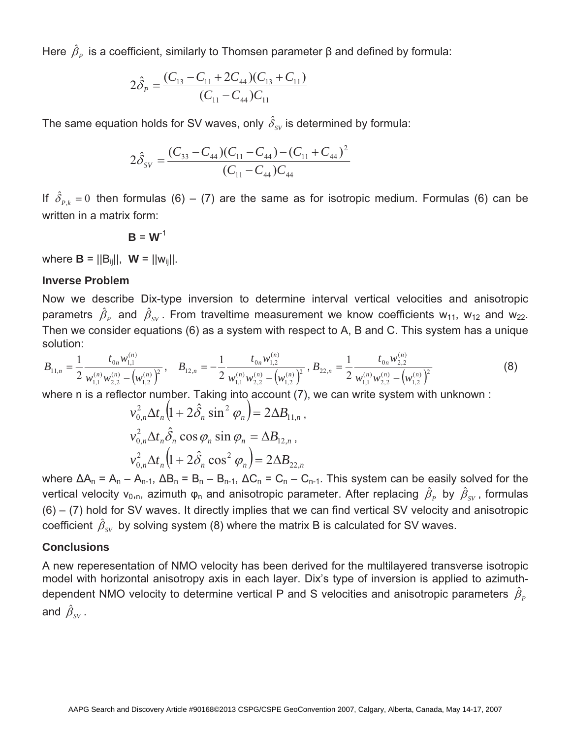Here  $\,\hat{\beta}_{\scriptscriptstyle P}^{\phantom i}$  is a coefficient, similarly to Thomsen parameter  $\beta$  and defined by formula:

$$
2\hat{\delta}_P = \frac{(C_{13} - C_{11} + 2C_{44})(C_{13} + C_{11})}{(C_{11} - C_{44})C_{11}}
$$

The same equation holds for SV waves, only  $\hat{\delta}_{\rm\scriptscriptstyle SV}$  is determined by formula:

$$
2\hat{\delta}_{SV} = \frac{(C_{33} - C_{44})(C_{11} - C_{44}) - (C_{11} + C_{44})^2}{(C_{11} - C_{44})C_{44}}
$$

If  $\hat{\delta}_{P,k} = 0$  then formulas (6) – (7) are the same as for isotropic medium. Formulas (6) can be written in a matrix form:

$$
\mathbf{B} = \mathbf{W}^{-1}
$$

where **,**  $**W** = ||**w**<sub>ii</sub>||$ **.** 

#### **Inverse Problem**

Now we describe Dix-type inversion to determine interval vertical velocities and anisotropic parametrs  $\hat{\beta}_P$  and  $\hat{\beta}_{SV}$ . From traveltime measurement we know coefficients w<sub>11</sub>, w<sub>12</sub> and w<sub>22</sub>. Then we consider equations (6) as a system with respect to A, B and C. This system has a unique solution:

$$
B_{11,n} = \frac{1}{2} \frac{t_{0n} w_{1,1}^{(n)}}{w_{1,1}^{(n)} w_{2,2}^{(n)} - \left(w_{1,2}^{(n)}\right)^2}, \quad B_{12,n} = -\frac{1}{2} \frac{t_{0n} w_{1,2}^{(n)}}{w_{1,1}^{(n)} w_{2,2}^{(n)} - \left(w_{1,2}^{(n)}\right)^2}, \quad B_{22,n} = \frac{1}{2} \frac{t_{0n} w_{2,2}^{(n)}}{w_{1,1}^{(n)} w_{2,2}^{(n)} - \left(w_{1,2}^{(n)}\right)^2}
$$
(8)

where n is a reflector number. Taking into account (7), we can write system with unknown :

$$
v_{0,n}^2 \Delta t_n \left( 1 + 2 \hat{\delta}_n \sin^2 \varphi_n \right) = 2 \Delta B_{11,n},
$$
  
\n
$$
v_{0,n}^2 \Delta t_n \hat{\delta}_n \cos \varphi_n \sin \varphi_n = \Delta B_{12,n},
$$
  
\n
$$
v_{0,n}^2 \Delta t_n \left( 1 + 2 \hat{\delta}_n \cos^2 \varphi_n \right) = 2 \Delta B_{22,n}
$$

where  $\Delta A_n = A_n - A_{n-1}$ ,  $\Delta B_n = B_n - B_{n-1}$ ,  $\Delta C_n = C_n - C_{n-1}$ . This system can be easily solved for the vertical velocity v<sub>0,n</sub>, azimuth  $\varphi_n$  and anisotropic parameter. After replacing  $\hat{\beta}_P$  by  $\hat{\beta}_{SV}$ , formulas  $(6) - (7)$  hold for SV waves. It directly implies that we can find vertical SV velocity and anisotropic coefficient  $\hat{\beta}_{SV}$  by solving system (8) where the matrix B is calculated for SV waves.

#### **Conclusions**

A new reperesentation of NMO velocity has been derived for the multilayered transverse isotropic model with horizontal anisotropy axis in each layer. Dix's type of inversion is applied to azimuthdependent NMO velocity to determine vertical P and S velocities and anisotropic parameters  $\hat{\beta}_P$ and  $\hat{\beta}_{\scriptscriptstyle SV}$  .